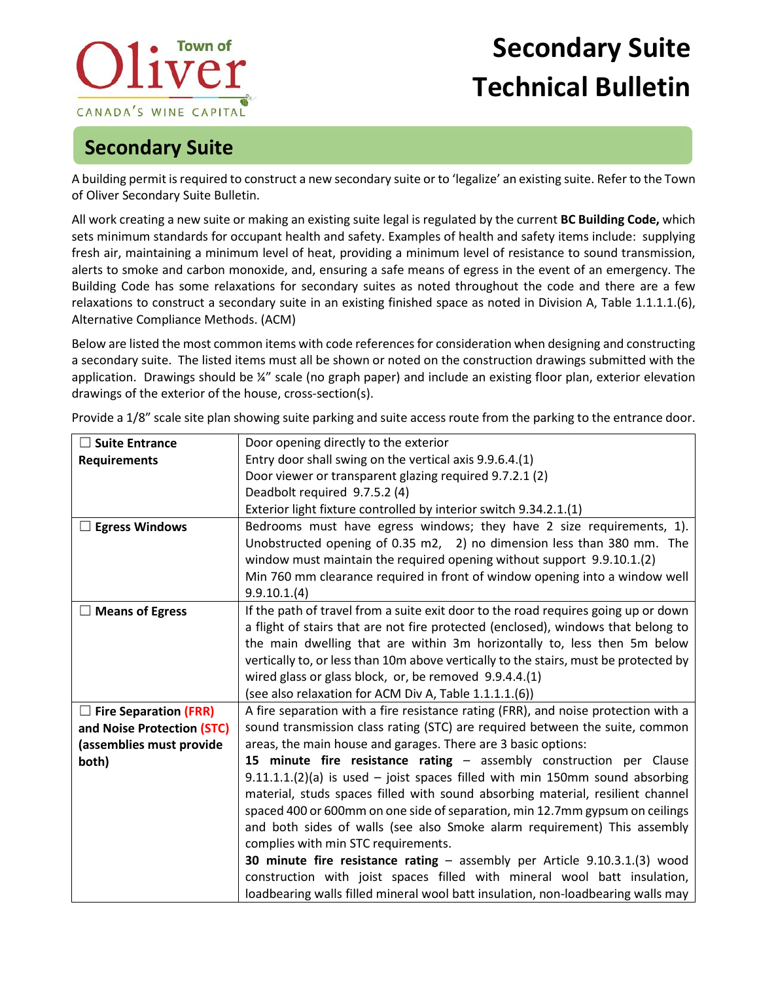## **Town of** CANADA'S WINE CAPITAL

## **Secondary Suite Technical Bulletin**

## **Secondary Suite**

A building permit is required to construct a new secondary suite or to 'legalize' an existing suite. Refer to the Town of Oliver Secondary Suite Bulletin.

All work creating a new suite or making an existing suite legal is regulated by the current **BC Building Code,** which sets minimum standards for occupant health and safety. Examples of health and safety items include: supplying fresh air, maintaining a minimum level of heat, providing a minimum level of resistance to sound transmission, alerts to smoke and carbon monoxide, and, ensuring a safe means of egress in the event of an emergency. The Building Code has some relaxations for secondary suites as noted throughout the code and there are a few relaxations to construct a secondary suite in an existing finished space as noted in Division A, Table 1.1.1.1.(6), Alternative Compliance Methods. (ACM)

Below are listed the most common items with code references for consideration when designing and constructing a secondary suite. The listed items must all be shown or noted on the construction drawings submitted with the application. Drawings should be ¼" scale (no graph paper) and include an existing floor plan, exterior elevation drawings of the exterior of the house, cross-section(s).

| $\Box$ Suite Entrance        | Door opening directly to the exterior                                                |
|------------------------------|--------------------------------------------------------------------------------------|
| <b>Requirements</b>          | Entry door shall swing on the vertical axis 9.9.6.4.(1)                              |
|                              | Door viewer or transparent glazing required 9.7.2.1 (2)                              |
|                              | Deadbolt required 9.7.5.2 (4)                                                        |
|                              | Exterior light fixture controlled by interior switch 9.34.2.1.(1)                    |
| <b>Egress Windows</b>        | Bedrooms must have egress windows; they have 2 size requirements, 1).                |
|                              | Unobstructed opening of 0.35 m2, 2) no dimension less than 380 mm. The               |
|                              | window must maintain the required opening without support 9.9.10.1.(2)               |
|                              | Min 760 mm clearance required in front of window opening into a window well          |
|                              | 9.9.10.1(4)                                                                          |
| <b>Means of Egress</b>       | If the path of travel from a suite exit door to the road requires going up or down   |
|                              | a flight of stairs that are not fire protected (enclosed), windows that belong to    |
|                              | the main dwelling that are within 3m horizontally to, less then 5m below             |
|                              | vertically to, or less than 10m above vertically to the stairs, must be protected by |
|                              | wired glass or glass block, or, be removed 9.9.4.4.(1)                               |
|                              | (see also relaxation for ACM Div A, Table 1.1.1.1.(6))                               |
| <b>Fire Separation (FRR)</b> | A fire separation with a fire resistance rating (FRR), and noise protection with a   |
| and Noise Protection (STC)   | sound transmission class rating (STC) are required between the suite, common         |
| (assemblies must provide     | areas, the main house and garages. There are 3 basic options:                        |
| both)                        | 15 minute fire resistance rating - assembly construction per Clause                  |
|                              | $9.11.1.1(2)(a)$ is used – joist spaces filled with min 150mm sound absorbing        |
|                              | material, studs spaces filled with sound absorbing material, resilient channel       |
|                              | spaced 400 or 600mm on one side of separation, min 12.7mm gypsum on ceilings         |
|                              | and both sides of walls (see also Smoke alarm requirement) This assembly             |
|                              | complies with min STC requirements.                                                  |
|                              | 30 minute fire resistance rating - assembly per Article 9.10.3.1.(3) wood            |
|                              | construction with joist spaces filled with mineral wool batt insulation,             |
|                              | loadbearing walls filled mineral wool batt insulation, non-loadbearing walls may     |

Provide a 1/8" scale site plan showing suite parking and suite access route from the parking to the entrance door.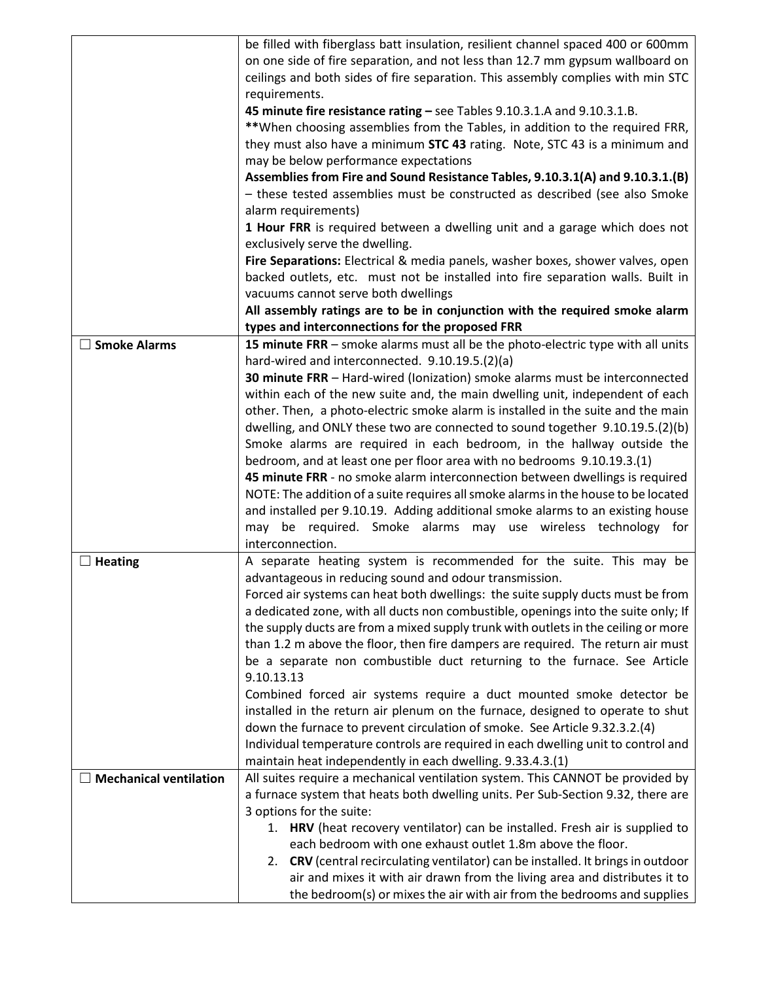|                               | be filled with fiberglass batt insulation, resilient channel spaced 400 or 600mm<br>on one side of fire separation, and not less than 12.7 mm gypsum wallboard on<br>ceilings and both sides of fire separation. This assembly complies with min STC<br>requirements.           |
|-------------------------------|---------------------------------------------------------------------------------------------------------------------------------------------------------------------------------------------------------------------------------------------------------------------------------|
|                               | 45 minute fire resistance rating - see Tables 9.10.3.1.A and 9.10.3.1.B.<br>**When choosing assemblies from the Tables, in addition to the required FRR,<br>they must also have a minimum STC 43 rating. Note, STC 43 is a minimum and<br>may be below performance expectations |
|                               | Assemblies from Fire and Sound Resistance Tables, 9.10.3.1(A) and 9.10.3.1.(B)<br>- these tested assemblies must be constructed as described (see also Smoke<br>alarm requirements)                                                                                             |
|                               | 1 Hour FRR is required between a dwelling unit and a garage which does not<br>exclusively serve the dwelling.                                                                                                                                                                   |
|                               | Fire Separations: Electrical & media panels, washer boxes, shower valves, open<br>backed outlets, etc. must not be installed into fire separation walls. Built in<br>vacuums cannot serve both dwellings                                                                        |
|                               | All assembly ratings are to be in conjunction with the required smoke alarm<br>types and interconnections for the proposed FRR                                                                                                                                                  |
| <b>Smoke Alarms</b>           | 15 minute FRR - smoke alarms must all be the photo-electric type with all units<br>hard-wired and interconnected. 9.10.19.5.(2)(a)                                                                                                                                              |
|                               | 30 minute FRR - Hard-wired (Ionization) smoke alarms must be interconnected<br>within each of the new suite and, the main dwelling unit, independent of each<br>other. Then, a photo-electric smoke alarm is installed in the suite and the main                                |
|                               | dwelling, and ONLY these two are connected to sound together 9.10.19.5.(2)(b)<br>Smoke alarms are required in each bedroom, in the hallway outside the                                                                                                                          |
|                               | bedroom, and at least one per floor area with no bedrooms 9.10.19.3.(1)<br>45 minute FRR - no smoke alarm interconnection between dwellings is required                                                                                                                         |
|                               | NOTE: The addition of a suite requires all smoke alarms in the house to be located<br>and installed per 9.10.19. Adding additional smoke alarms to an existing house<br>may be required. Smoke alarms may use wireless technology for<br>interconnection.                       |
| <b>Heating</b>                | A separate heating system is recommended for the suite. This may be                                                                                                                                                                                                             |
|                               | advantageous in reducing sound and odour transmission.<br>Forced air systems can heat both dwellings: the suite supply ducts must be from                                                                                                                                       |
|                               | a dedicated zone, with all ducts non combustible, openings into the suite only; If                                                                                                                                                                                              |
|                               | the supply ducts are from a mixed supply trunk with outlets in the ceiling or more<br>than 1.2 m above the floor, then fire dampers are required. The return air must                                                                                                           |
|                               | be a separate non combustible duct returning to the furnace. See Article                                                                                                                                                                                                        |
|                               | 9.10.13.13                                                                                                                                                                                                                                                                      |
|                               | Combined forced air systems require a duct mounted smoke detector be<br>installed in the return air plenum on the furnace, designed to operate to shut                                                                                                                          |
|                               | down the furnace to prevent circulation of smoke. See Article 9.32.3.2.(4)                                                                                                                                                                                                      |
|                               | Individual temperature controls are required in each dwelling unit to control and<br>maintain heat independently in each dwelling. 9.33.4.3.(1)                                                                                                                                 |
| <b>Mechanical ventilation</b> | All suites require a mechanical ventilation system. This CANNOT be provided by                                                                                                                                                                                                  |
|                               | a furnace system that heats both dwelling units. Per Sub-Section 9.32, there are                                                                                                                                                                                                |
|                               | 3 options for the suite:<br>1. HRV (heat recovery ventilator) can be installed. Fresh air is supplied to                                                                                                                                                                        |
|                               | each bedroom with one exhaust outlet 1.8m above the floor.                                                                                                                                                                                                                      |
|                               | 2. CRV (central recirculating ventilator) can be installed. It brings in outdoor                                                                                                                                                                                                |
|                               | air and mixes it with air drawn from the living area and distributes it to<br>the bedroom(s) or mixes the air with air from the bedrooms and supplies                                                                                                                           |
|                               |                                                                                                                                                                                                                                                                                 |